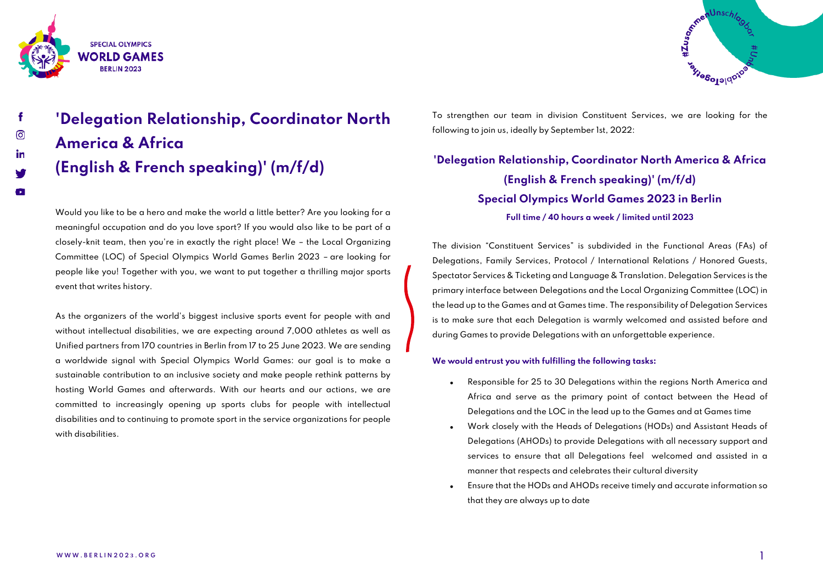



 $\mathbf{r}$ 

# **'Delegation Relationship, Coordinator North America & Africa (English & French speaking)' (m/f/d)**

Would you like to be a hero and make the world a little better? Are you looking for a meaningful occupation and do you love sport? If you would also like to be part of a closely-knit team, then you're in exactly the right place! We – the Local Organizing Committee (LOC) of Special Olympics World Games Berlin 2023 – are looking for people like you! Together with you, we want to put together a thrilling major sports event that writes history.

As the organizers of the world's biggest inclusive sports event for people with and without intellectual disabilities, we are expecting around 7,000 athletes as well as Unified partners from 170 countries in Berlin from 17 to 25 June 2023. We are sending a worldwide signal with Special Olympics World Games: our goal is to make a sustainable contribution to an inclusive society and make people rethink patterns by hosting World Games and afterwards. With our hearts and our actions, we are committed to increasingly opening up sports clubs for people with intellectual disabilities and to continuing to promote sport in the service organizations for people with disabilities.

To strengthen our team in division Constituent Services, we are looking for the following to join us, ideally by September 1st, 2022:

## **'Delegation Relationship, Coordinator North America & Africa (English & French speaking)' (m/f/d) Special Olympics World Games 2023 in Berlin Full time / 40 hours a week / limited until 2023**

The division "Constituent Services" is subdivided in the Functional Areas (FAs) of Delegations, Family Services, Protocol / International Relations / Honored Guests, Spectator Services & Ticketing and Language & Translation. Delegation Services is the primary interface between Delegations and the Local Organizing Committee (LOC) in the lead up to the Games and at Games time. The responsibility of Delegation Services is to make sure that each Delegation is warmly welcomed and assisted before and during Games to provide Delegations with an unforgettable experience.

### **We would entrust you with fulfilling the following tasks:**

- Responsible for 25 to 30 Delegations within the regions North America and Africa and serve as the primary point of contact between the Head of Delegations and the LOC in the lead up to the Games and at Games time
- Work closely with the Heads of Delegations (HODs) and Assistant Heads of Delegations (AHODs) to provide Delegations with all necessary support and services to ensure that all Delegations feel welcomed and assisted in a manner that respects and celebrates their cultural diversity
- Ensure that the HODs and AHODs receive timely and accurate information so that they are always up to date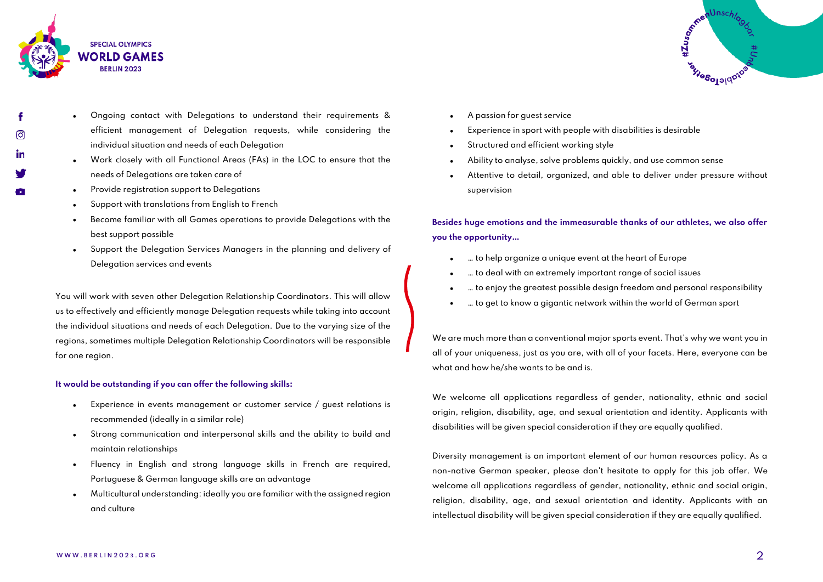

ര

- Ongoing contact with Delegations to understand their requirements & efficient management of Delegation requests, while considering the individual situation and needs of each Delegation
- Work closely with all Functional Areas (FAs) in the LOC to ensure that the needs of Delegations are taken care of
- Provide registration support to Delegations
- Support with translations from English to French
- Become familiar with all Games operations to provide Delegations with the best support possible
- Support the Delegation Services Managers in the planning and delivery of Delegation services and events

You will work with seven other Delegation Relationship Coordinators. This will allow us to effectively and efficiently manage Delegation requests while taking into account the individual situations and needs of each Delegation. Due to the varying size of the regions, sometimes multiple Delegation Relationship Coordinators will be responsible for one region.

#### **It would be outstanding if you can offer the following skills:**

- Experience in events management or customer service / guest relations is recommended (ideally in a similar role)
- Strong communication and interpersonal skills and the ability to build and maintain relationships
- Fluency in English and strong language skills in French are required, Portuguese & German language skills are an advantage
- Multicultural understanding: ideally you are familiar with the assigned region and culture

n<sup>Unsch</sup>lo #Zusomme **Tagge1964Way** 

- A passion for guest service
- Experience in sport with people with disabilities is desirable
- Structured and efficient working style
- Ability to analyse, solve problems quickly, and use common sense
- Attentive to detail, organized, and able to deliver under pressure without supervision

**Besides huge emotions and the immeasurable thanks of our athletes, we also offer you the opportunity…**

- … to help organize a unique event at the heart of Europe
- … to deal with an extremely important range of social issues
- … to enjoy the greatest possible design freedom and personal responsibility
- ... to get to know a gigantic network within the world of German sport

We are much more than a conventional major sports event. That's why we want you in all of your uniqueness, just as you are, with all of your facets. Here, everyone can be what and how he/she wants to be and is.

We welcome all applications regardless of gender, nationality, ethnic and social origin, religion, disability, age, and sexual orientation and identity. Applicants with disabilities will be given special consideration if they are equally qualified.

Diversity management is an important element of our human resources policy. As a non-native German speaker, please don't hesitate to apply for this job offer. We welcome all applications regardless of gender, nationality, ethnic and social origin, religion, disability, age, and sexual orientation and identity. Applicants with an intellectual disability will be given special consideration if they are equally qualified.